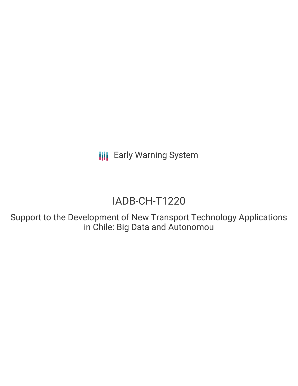**III** Early Warning System

# IADB-CH-T1220

Support to the Development of New Transport Technology Applications in Chile: Big Data and Autonomou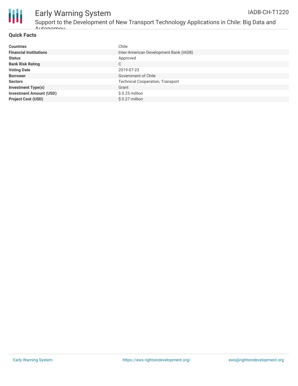

### Early Warning System Support to the Development of New Transport Technology Applications in Chile: Big Data and

Autonomou

| <b>Countries</b>               | Chile                                   |
|--------------------------------|-----------------------------------------|
| <b>Financial Institutions</b>  | Inter-American Development Bank (IADB)  |
| <b>Status</b>                  | Approved                                |
| <b>Bank Risk Rating</b>        | C                                       |
| <b>Voting Date</b>             | 2019-07-23                              |
| <b>Borrower</b>                | Government of Chile                     |
| <b>Sectors</b>                 | <b>Technical Cooperation, Transport</b> |
| <b>Investment Type(s)</b>      | Grant                                   |
| <b>Investment Amount (USD)</b> | $$0.25$ million                         |
| <b>Project Cost (USD)</b>      | \$ 0.27 million                         |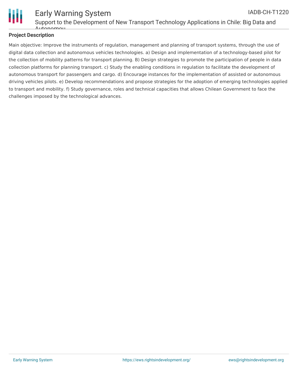

#### Early Warning System Support to the Development of New Transport Technology Applications in Chile: Big Data and  $A$ uton IADB-CH-T1220

### **Project Description**

Main objective: Improve the instruments of regulation, management and planning of transport systems, through the use of digital data collection and autonomous vehicles technologies. a) Design and implementation of a technology-based pilot for the collection of mobility patterns for transport planning. B) Design strategies to promote the participation of people in data collection platforms for planning transport. c) Study the enabling conditions in regulation to facilitate the development of autonomous transport for passengers and cargo. d) Encourage instances for the implementation of assisted or autonomous driving vehicles pilots. e) Develop recommendations and propose strategies for the adoption of emerging technologies applied to transport and mobility. f) Study governance, roles and technical capacities that allows Chilean Government to face the challenges imposed by the technological advances.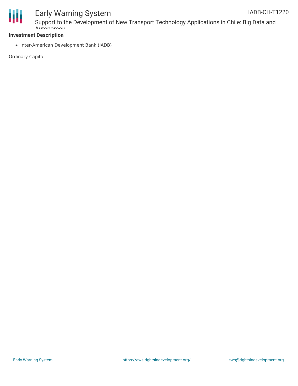

## Early Warning System

Support to the Development of New Transport Technology Applications in Chile: Big Data and Autonomou

### **Investment Description**

• Inter-American Development Bank (IADB)

Ordinary Capital